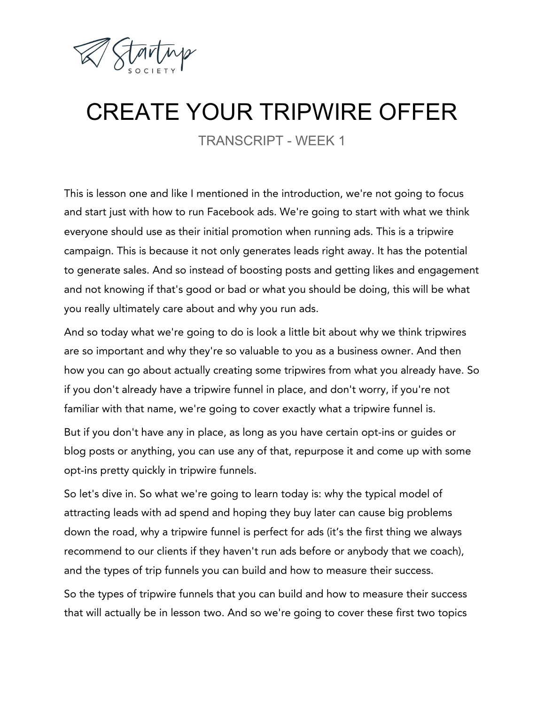

## CREATE YOUR TRIPWIRE OFFER

TRANSCRIPT - WEEK 1

This is lesson one and like I mentioned in the introduction, we're not going to focus and start just with how to run Facebook ads. We're going to start with what we think everyone should use as their initial promotion when running ads. This is a tripwire campaign. This is because it not only generates leads right away. It has the potential to generate sales. And so instead of boosting posts and getting likes and engagement and not knowing if that's good or bad or what you should be doing, this will be what you really ultimately care about and why you run ads.

And so today what we're going to do is look a little bit about why we think tripwires are so important and why they're so valuable to you as a business owner. And then how you can go about actually creating some tripwires from what you already have. So if you don't already have a tripwire funnel in place, and don't worry, if you're not familiar with that name, we're going to cover exactly what a tripwire funnel is.

But if you don't have any in place, as long as you have certain opt-ins or guides or blog posts or anything, you can use any of that, repurpose it and come up with some opt-ins pretty quickly in tripwire funnels.

So let's dive in. So what we're going to learn today is: why the typical model of attracting leads with ad spend and hoping they buy later can cause big problems down the road, why a tripwire funnel is perfect for ads (it's the first thing we always recommend to our clients if they haven't run ads before or anybody that we coach), and the types of trip funnels you can build and how to measure their success.

So the types of tripwire funnels that you can build and how to measure their success that will actually be in lesson two. And so we're going to cover these first two topics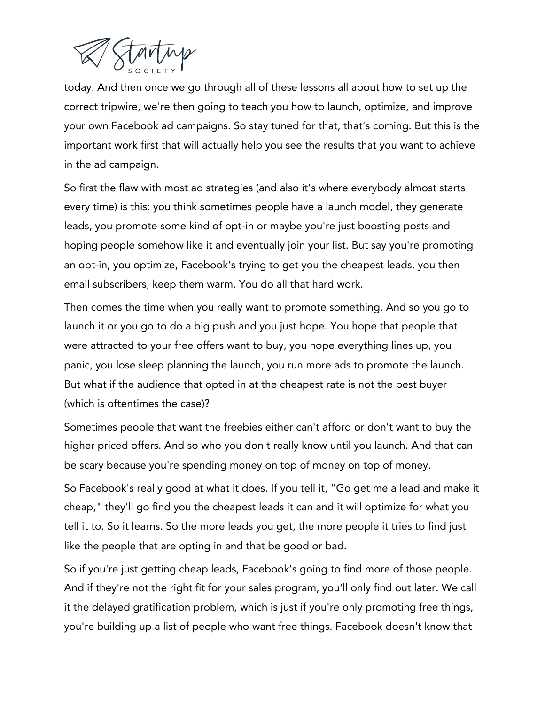

today. And then once we go through all of these lessons all about how to set up the correct tripwire, we're then going to teach you how to launch, optimize, and improve your own Facebook ad campaigns. So stay tuned for that, that's coming. But this is the important work first that will actually help you see the results that you want to achieve in the ad campaign.

So first the flaw with most ad strategies (and also it's where everybody almost starts every time) is this: you think sometimes people have a launch model, they generate leads, you promote some kind of opt-in or maybe you're just boosting posts and hoping people somehow like it and eventually join your list. But say you're promoting an opt-in, you optimize, Facebook's trying to get you the cheapest leads, you then email subscribers, keep them warm. You do all that hard work.

Then comes the time when you really want to promote something. And so you go to launch it or you go to do a big push and you just hope. You hope that people that were attracted to your free offers want to buy, you hope everything lines up, you panic, you lose sleep planning the launch, you run more ads to promote the launch. But what if the audience that opted in at the cheapest rate is not the best buyer (which is oftentimes the case)?

Sometimes people that want the freebies either can't afford or don't want to buy the higher priced offers. And so who you don't really know until you launch. And that can be scary because you're spending money on top of money on top of money.

So Facebook's really good at what it does. If you tell it, "Go get me a lead and make it cheap," they'll go find you the cheapest leads it can and it will optimize for what you tell it to. So it learns. So the more leads you get, the more people it tries to find just like the people that are opting in and that be good or bad.

So if you're just getting cheap leads, Facebook's going to find more of those people. And if they're not the right fit for your sales program, you'll only find out later. We call it the delayed gratification problem, which is just if you're only promoting free things, you're building up a list of people who want free things. Facebook doesn't know that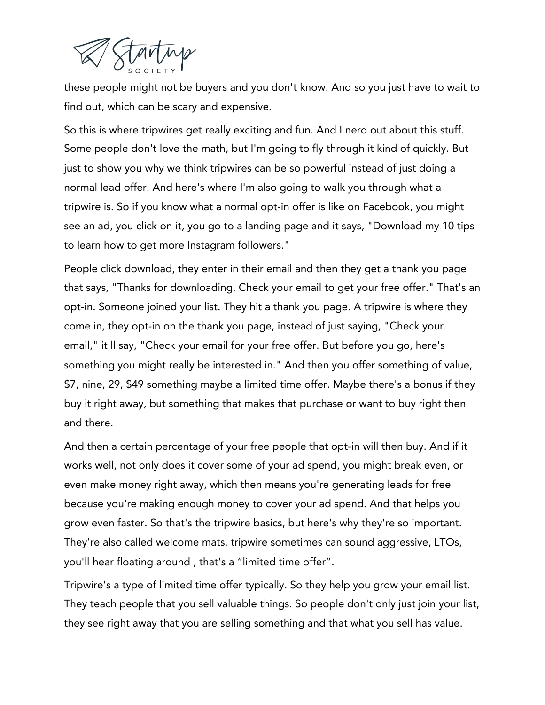

these people might not be buyers and you don't know. And so you just have to wait to find out, which can be scary and expensive.

So this is where tripwires get really exciting and fun. And I nerd out about this stuff. Some people don't love the math, but I'm going to fly through it kind of quickly. But just to show you why we think tripwires can be so powerful instead of just doing a normal lead offer. And here's where I'm also going to walk you through what a tripwire is. So if you know what a normal opt-in offer is like on Facebook, you might see an ad, you click on it, you go to a landing page and it says, "Download my 10 tips to learn how to get more Instagram followers."

People click download, they enter in their email and then they get a thank you page that says, "Thanks for downloading. Check your email to get your free offer." That's an opt-in. Someone joined your list. They hit a thank you page. A tripwire is where they come in, they opt-in on the thank you page, instead of just saying, "Check your email," it'll say, "Check your email for your free offer. But before you go, here's something you might really be interested in." And then you offer something of value, \$7, nine, 29, \$49 something maybe a limited time offer. Maybe there's a bonus if they buy it right away, but something that makes that purchase or want to buy right then and there.

And then a certain percentage of your free people that opt-in will then buy. And if it works well, not only does it cover some of your ad spend, you might break even, or even make money right away, which then means you're generating leads for free because you're making enough money to cover your ad spend. And that helps you grow even faster. So that's the tripwire basics, but here's why they're so important. They're also called welcome mats, tripwire sometimes can sound aggressive, LTOs, you'll hear floating around , that's a "limited time offer".

Tripwire's a type of limited time offer typically. So they help you grow your email list. They teach people that you sell valuable things. So people don't only just join your list, they see right away that you are selling something and that what you sell has value.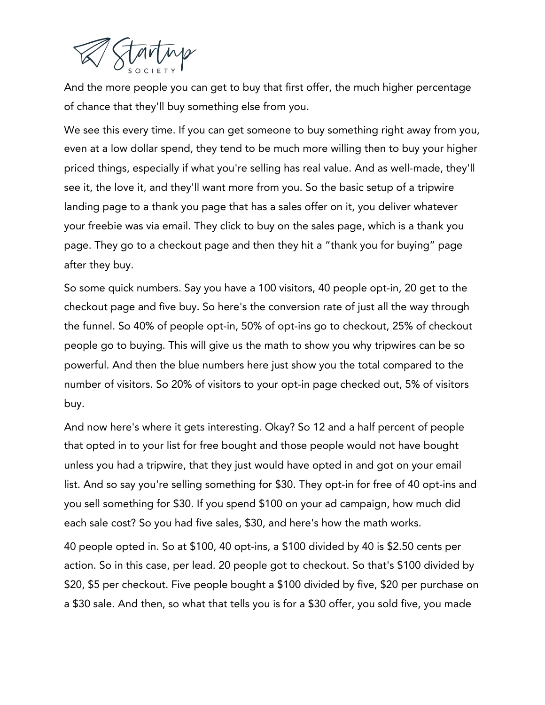

And the more people you can get to buy that first offer, the much higher percentage of chance that they'll buy something else from you.

We see this every time. If you can get someone to buy something right away from you, even at a low dollar spend, they tend to be much more willing then to buy your higher priced things, especially if what you're selling has real value. And as well-made, they'll see it, the love it, and they'll want more from you. So the basic setup of a tripwire landing page to a thank you page that has a sales offer on it, you deliver whatever your freebie was via email. They click to buy on the sales page, which is a thank you page. They go to a checkout page and then they hit a "thank you for buying" page after they buy.

So some quick numbers. Say you have a 100 visitors, 40 people opt-in, 20 get to the checkout page and five buy. So here's the conversion rate of just all the way through the funnel. So 40% of people opt-in, 50% of opt-ins go to checkout, 25% of checkout people go to buying. This will give us the math to show you why tripwires can be so powerful. And then the blue numbers here just show you the total compared to the number of visitors. So 20% of visitors to your opt-in page checked out, 5% of visitors buy.

And now here's where it gets interesting. Okay? So 12 and a half percent of people that opted in to your list for free bought and those people would not have bought unless you had a tripwire, that they just would have opted in and got on your email list. And so say you're selling something for \$30. They opt-in for free of 40 opt-ins and you sell something for \$30. If you spend \$100 on your ad campaign, how much did each sale cost? So you had five sales, \$30, and here's how the math works.

40 people opted in. So at \$100, 40 opt-ins, a \$100 divided by 40 is \$2.50 cents per action. So in this case, per lead. 20 people got to checkout. So that's \$100 divided by \$20, \$5 per checkout. Five people bought a \$100 divided by five, \$20 per purchase on a \$30 sale. And then, so what that tells you is for a \$30 offer, you sold five, you made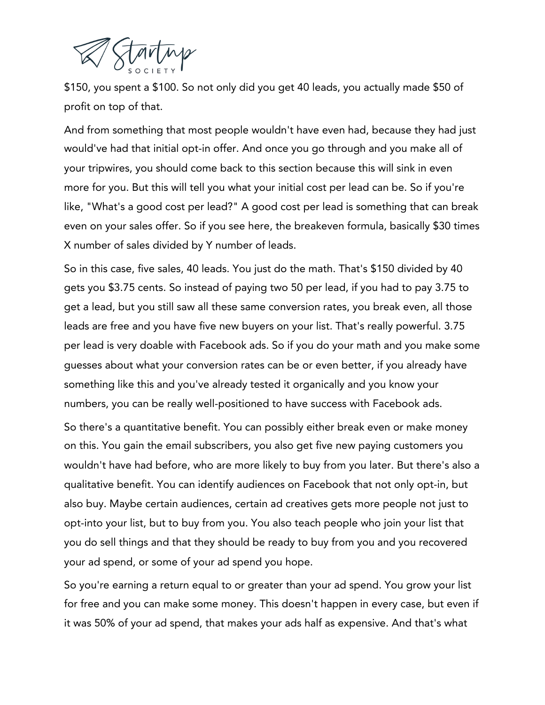

\$150, you spent a \$100. So not only did you get 40 leads, you actually made \$50 of profit on top of that.

And from something that most people wouldn't have even had, because they had just would've had that initial opt-in offer. And once you go through and you make all of your tripwires, you should come back to this section because this will sink in even more for you. But this will tell you what your initial cost per lead can be. So if you're like, "What's a good cost per lead?" A good cost per lead is something that can break even on your sales offer. So if you see here, the breakeven formula, basically \$30 times X number of sales divided by Y number of leads.

So in this case, five sales, 40 leads. You just do the math. That's \$150 divided by 40 gets you \$3.75 cents. So instead of paying two 50 per lead, if you had to pay 3.75 to get a lead, but you still saw all these same conversion rates, you break even, all those leads are free and you have five new buyers on your list. That's really powerful. 3.75 per lead is very doable with Facebook ads. So if you do your math and you make some guesses about what your conversion rates can be or even better, if you already have something like this and you've already tested it organically and you know your numbers, you can be really well-positioned to have success with Facebook ads.

So there's a quantitative benefit. You can possibly either break even or make money on this. You gain the email subscribers, you also get five new paying customers you wouldn't have had before, who are more likely to buy from you later. But there's also a qualitative benefit. You can identify audiences on Facebook that not only opt-in, but also buy. Maybe certain audiences, certain ad creatives gets more people not just to opt-into your list, but to buy from you. You also teach people who join your list that you do sell things and that they should be ready to buy from you and you recovered your ad spend, or some of your ad spend you hope.

So you're earning a return equal to or greater than your ad spend. You grow your list for free and you can make some money. This doesn't happen in every case, but even if it was 50% of your ad spend, that makes your ads half as expensive. And that's what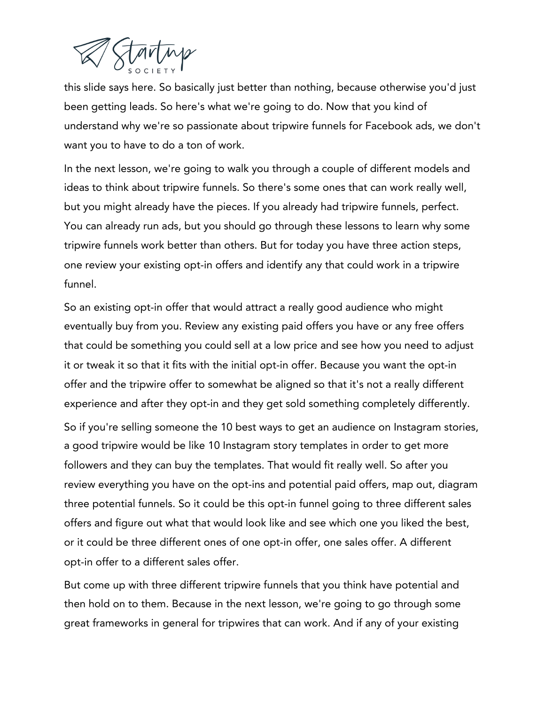

this slide says here. So basically just better than nothing, because otherwise you'd just been getting leads. So here's what we're going to do. Now that you kind of understand why we're so passionate about tripwire funnels for Facebook ads, we don't want you to have to do a ton of work.

In the next lesson, we're going to walk you through a couple of different models and ideas to think about tripwire funnels. So there's some ones that can work really well, but you might already have the pieces. If you already had tripwire funnels, perfect. You can already run ads, but you should go through these lessons to learn why some tripwire funnels work better than others. But for today you have three action steps, one review your existing opt-in offers and identify any that could work in a tripwire funnel.

So an existing opt-in offer that would attract a really good audience who might eventually buy from you. Review any existing paid offers you have or any free offers that could be something you could sell at a low price and see how you need to adjust it or tweak it so that it fits with the initial opt-in offer. Because you want the opt-in offer and the tripwire offer to somewhat be aligned so that it's not a really different experience and after they opt-in and they get sold something completely differently.

So if you're selling someone the 10 best ways to get an audience on Instagram stories, a good tripwire would be like 10 Instagram story templates in order to get more followers and they can buy the templates. That would fit really well. So after you review everything you have on the opt-ins and potential paid offers, map out, diagram three potential funnels. So it could be this opt-in funnel going to three different sales offers and figure out what that would look like and see which one you liked the best, or it could be three different ones of one opt-in offer, one sales offer. A different opt-in offer to a different sales offer.

But come up with three different tripwire funnels that you think have potential and then hold on to them. Because in the next lesson, we're going to go through some great frameworks in general for tripwires that can work. And if any of your existing